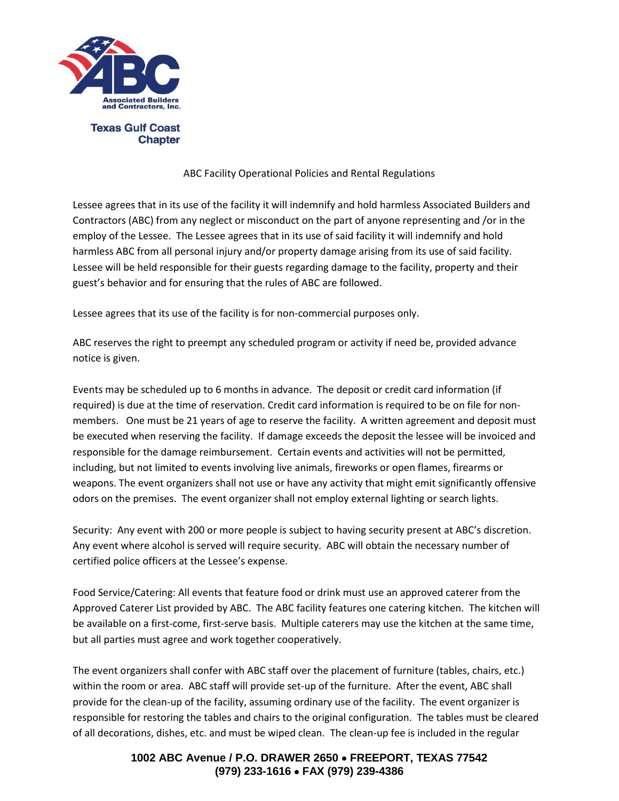

**Chapter** 

#### ABC Facility Operational Policies and Rental Regulations

Lessee agrees that in its use of the facility it will indemnify and hold harmless Associated Builders and Contractors (ABC) from any neglect or misconduct on the part of anyone representing and /or in the employ of the Lessee. The Lessee agrees that in its use of said facility it will indemnify and hold harmless ABC from all personal injury and/or property damage arising from its use of said facility. Lessee will be held responsible for their guests regarding damage to the facility, property and their guest's behavior and for ensuring that the rules of ABC are followed.

Lessee agrees that its use of the facility is for non-commercial purposes only.

ABC reserves the right to preempt any scheduled program or activity if need be, provided advance notice is given.

Events may be scheduled up to 6 months in advance. The deposit or credit card information (if required) is due at the time of reservation. Credit card information is required to be on file for nonmembers. One must be 21 years of age to reserve the facility. A written agreement and deposit must be executed when reserving the facility. If damage exceeds the deposit the lessee will be invoiced and responsible for the damage reimbursement. Certain events and activities will not be permitted, including, but not limited to events involving live animals, fireworks or open flames, firearms or weapons. The event organizers shall not use or have any activity that might emit significantly offensive odors on the premises. The event organizer shall not employ external lighting or search lights.

Security: Any event with 200 or more people is subject to having security present at ABC's discretion. Any event where alcohol is served will require security. ABC will obtain the necessary number of certified police officers at the Lessee's expense.

Food Service/Catering: All events that feature food or drink must use an approved caterer from the Approved Caterer List provided by ABC. The ABC facility features one catering kitchen. The kitchen will be available on a first-come, first-serve basis. Multiple caterers may use the kitchen at the same time, but all parties must agree and work together cooperatively.

The event organizers shall confer with ABC staff over the placement of furniture (tables, chairs, etc.) within the room or area. ABC staff will provide set-up of the furniture. After the event, ABC shall provide for the clean-up of the facility, assuming ordinary use of the facility. The event organizer is responsible for restoring the tables and chairs to the original configuration. The tables must be cleared of all decorations, dishes, etc. and must be wiped clean. The clean-up fee is included in the regular

> **1002 ABC Avenue / P.O. DRAWER 2650 FREEPORT, TEXAS 77542 (979) 233-1616 FAX (979) 239-4386**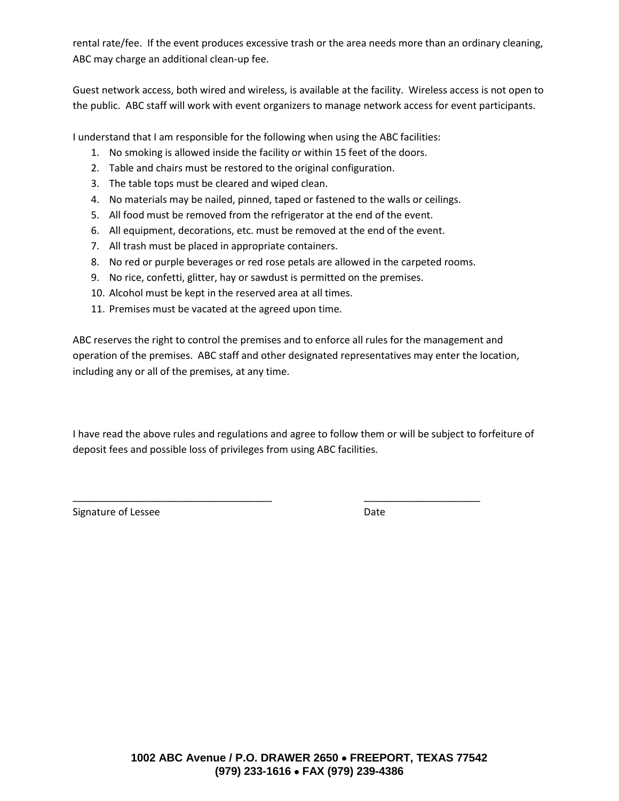rental rate/fee. If the event produces excessive trash or the area needs more than an ordinary cleaning, ABC may charge an additional clean-up fee.

Guest network access, both wired and wireless, is available at the facility. Wireless access is not open to the public. ABC staff will work with event organizers to manage network access for event participants.

I understand that I am responsible for the following when using the ABC facilities:

- 1. No smoking is allowed inside the facility or within 15 feet of the doors.
- 2. Table and chairs must be restored to the original configuration.
- 3. The table tops must be cleared and wiped clean.
- 4. No materials may be nailed, pinned, taped or fastened to the walls or ceilings.
- 5. All food must be removed from the refrigerator at the end of the event.
- 6. All equipment, decorations, etc. must be removed at the end of the event.
- 7. All trash must be placed in appropriate containers.
- 8. No red or purple beverages or red rose petals are allowed in the carpeted rooms.
- 9. No rice, confetti, glitter, hay or sawdust is permitted on the premises.
- 10. Alcohol must be kept in the reserved area at all times.
- 11. Premises must be vacated at the agreed upon time.

ABC reserves the right to control the premises and to enforce all rules for the management and operation of the premises. ABC staff and other designated representatives may enter the location, including any or all of the premises, at any time.

I have read the above rules and regulations and agree to follow them or will be subject to forfeiture of deposit fees and possible loss of privileges from using ABC facilities.

\_\_\_\_\_\_\_\_\_\_\_\_\_\_\_\_\_\_\_\_\_\_\_\_\_\_\_\_\_\_\_\_\_\_\_\_ \_\_\_\_\_\_\_\_\_\_\_\_\_\_\_\_\_\_\_\_\_

Signature of Lessee **Date** Date Date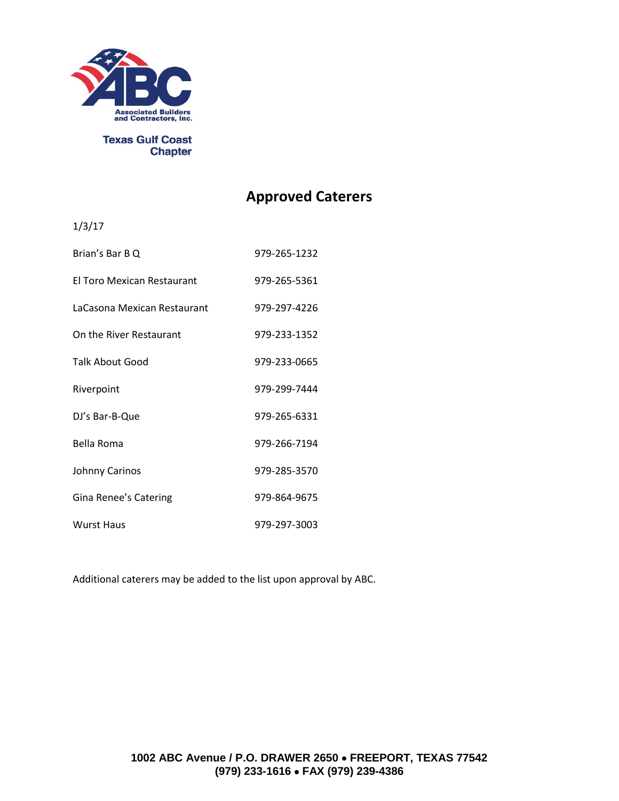

**Texas Gulf Coast** 

# **Chapter**

# **Approved Caterers**

1/3/17

| Brian's Bar B Q                   | 979-265-1232 |
|-----------------------------------|--------------|
| <b>El Toro Mexican Restaurant</b> | 979-265-5361 |
| LaCasona Mexican Restaurant       | 979-297-4226 |
| On the River Restaurant           | 979-233-1352 |
| <b>Talk About Good</b>            | 979-233-0665 |
| Riverpoint                        | 979-299-7444 |
| DJ's Bar-B-Que                    | 979-265-6331 |
| Bella Roma                        | 979-266-7194 |
| Johnny Carinos                    | 979-285-3570 |
| Gina Renee's Catering             | 979-864-9675 |
| <b>Wurst Haus</b>                 | 979-297-3003 |

Additional caterers may be added to the list upon approval by ABC.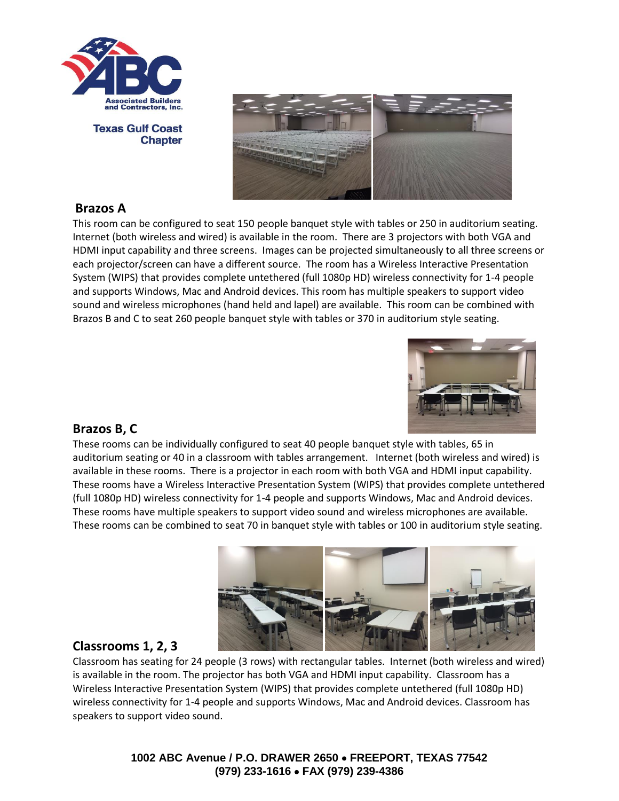

**Texas Gulf Coast Chapter** 



#### **Brazos A**

This room can be configured to seat 150 people banquet style with tables or 250 in auditorium seating. Internet (both wireless and wired) is available in the room. There are 3 projectors with both VGA and HDMI input capability and three screens. Images can be projected simultaneously to all three screens or each projector/screen can have a different source. The room has a Wireless Interactive Presentation System (WIPS) that provides complete untethered (full 1080p HD) wireless connectivity for 1-4 people and supports Windows, Mac and Android devices. This room has multiple speakers to support video sound and wireless microphones (hand held and lapel) are available. This room can be combined with Brazos B and C to seat 260 people banquet style with tables or 370 in auditorium style seating.



#### **Brazos B, C**

These rooms can be individually configured to seat 40 people banquet style with tables, 65 in auditorium seating or 40 in a classroom with tables arrangement. Internet (both wireless and wired) is available in these rooms. There is a projector in each room with both VGA and HDMI input capability. These rooms have a Wireless Interactive Presentation System (WIPS) that provides complete untethered (full 1080p HD) wireless connectivity for 1-4 people and supports Windows, Mac and Android devices. These rooms have multiple speakers to support video sound and wireless microphones are available. These rooms can be combined to seat 70 in banquet style with tables or 100 in auditorium style seating.



## **Classrooms 1, 2, 3**

Classroom has seating for 24 people (3 rows) with rectangular tables. Internet (both wireless and wired) is available in the room. The projector has both VGA and HDMI input capability. Classroom has a Wireless Interactive Presentation System (WIPS) that provides complete untethered (full 1080p HD) wireless connectivity for 1-4 people and supports Windows, Mac and Android devices. Classroom has speakers to support video sound.

> **1002 ABC Avenue / P.O. DRAWER 2650 FREEPORT, TEXAS 77542 (979) 233-1616 FAX (979) 239-4386**